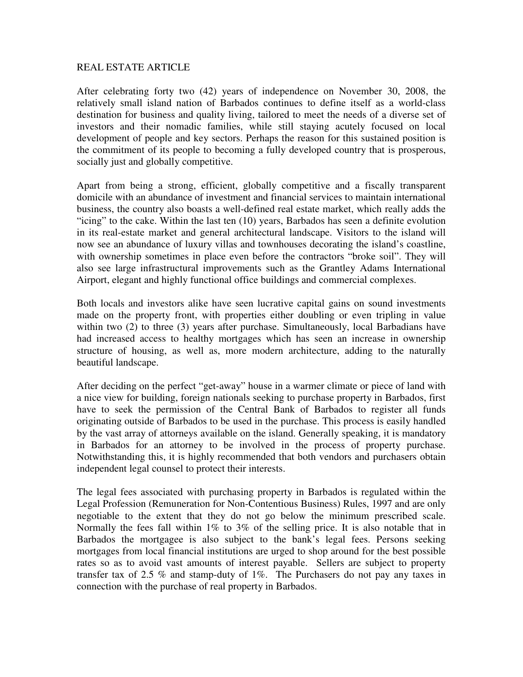## REAL ESTATE ARTICLE

After celebrating forty two (42) years of independence on November 30, 2008, the relatively small island nation of Barbados continues to define itself as a world-class destination for business and quality living, tailored to meet the needs of a diverse set of investors and their nomadic families, while still staying acutely focused on local development of people and key sectors. Perhaps the reason for this sustained position is the commitment of its people to becoming a fully developed country that is prosperous, socially just and globally competitive.

Apart from being a strong, efficient, globally competitive and a fiscally transparent domicile with an abundance of investment and financial services to maintain international business, the country also boasts a well-defined real estate market, which really adds the "icing" to the cake. Within the last ten (10) years, Barbados has seen a definite evolution in its real-estate market and general architectural landscape. Visitors to the island will now see an abundance of luxury villas and townhouses decorating the island's coastline, with ownership sometimes in place even before the contractors "broke soil". They will also see large infrastructural improvements such as the Grantley Adams International Airport, elegant and highly functional office buildings and commercial complexes.

Both locals and investors alike have seen lucrative capital gains on sound investments made on the property front, with properties either doubling or even tripling in value within two (2) to three (3) years after purchase. Simultaneously, local Barbadians have had increased access to healthy mortgages which has seen an increase in ownership structure of housing, as well as, more modern architecture, adding to the naturally beautiful landscape.

After deciding on the perfect "get-away" house in a warmer climate or piece of land with a nice view for building, foreign nationals seeking to purchase property in Barbados, first have to seek the permission of the Central Bank of Barbados to register all funds originating outside of Barbados to be used in the purchase. This process is easily handled by the vast array of attorneys available on the island. Generally speaking, it is mandatory in Barbados for an attorney to be involved in the process of property purchase. Notwithstanding this, it is highly recommended that both vendors and purchasers obtain independent legal counsel to protect their interests.

The legal fees associated with purchasing property in Barbados is regulated within the Legal Profession (Remuneration for Non-Contentious Business) Rules, 1997 and are only negotiable to the extent that they do not go below the minimum prescribed scale. Normally the fees fall within 1% to 3% of the selling price. It is also notable that in Barbados the mortgagee is also subject to the bank's legal fees. Persons seeking mortgages from local financial institutions are urged to shop around for the best possible rates so as to avoid vast amounts of interest payable. Sellers are subject to property transfer tax of 2.5 % and stamp-duty of 1%. The Purchasers do not pay any taxes in connection with the purchase of real property in Barbados.